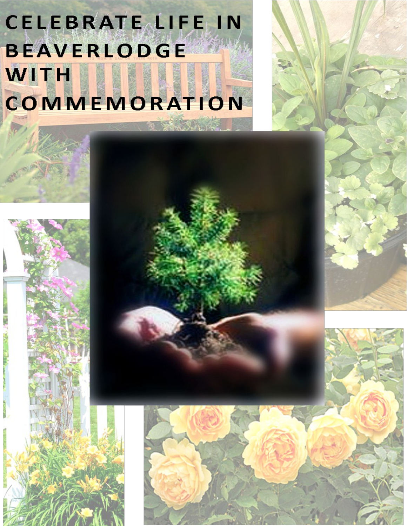## **CELEBRATE LIFE IN BEAVERLODGE** WITH COMMEMORATION